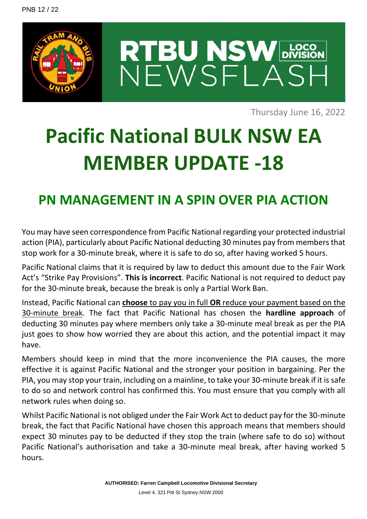

Thursday June 16, 2022

## **Pacific National BULK NSW EA MEMBER UPDATE -18**

## **PN MANAGEMENT IN A SPIN OVER PIA ACTION**

You may have seen correspondence from Pacific National regarding your protected industrial action (PIA), particularly about Pacific National deducting 30 minutes pay from members that stop work for a 30-minute break, where it is safe to do so, after having worked 5 hours.

Pacific National claims that it is required by law to deduct this amount due to the Fair Work Act's "Strike Pay Provisions". **This is incorrect**. Pacific National is not required to deduct pay for the 30-minute break, because the break is only a Partial Work Ban.

Instead, Pacific National can **choose** to pay you in full **OR** reduce your payment based on the 30-minute break. The fact that Pacific National has chosen the **hardline approach** of deducting 30 minutes pay where members only take a 30-minute meal break as per the PIA just goes to show how worried they are about this action, and the potential impact it may have.

Members should keep in mind that the more inconvenience the PIA causes, the more effective it is against Pacific National and the stronger your position in bargaining. Per the PIA, you may stop your train, including on a mainline, to take your 30-minute break if it is safe to do so and network control has confirmed this. You must ensure that you comply with all network rules when doing so.

Whilst Pacific National is not obliged under the Fair Work Act to deduct pay for the 30-minute break, the fact that Pacific National have chosen this approach means that members should expect 30 minutes pay to be deducted if they stop the train (where safe to do so) without Pacific National's authorisation and take a 30-minute meal break, after having worked 5 hours.